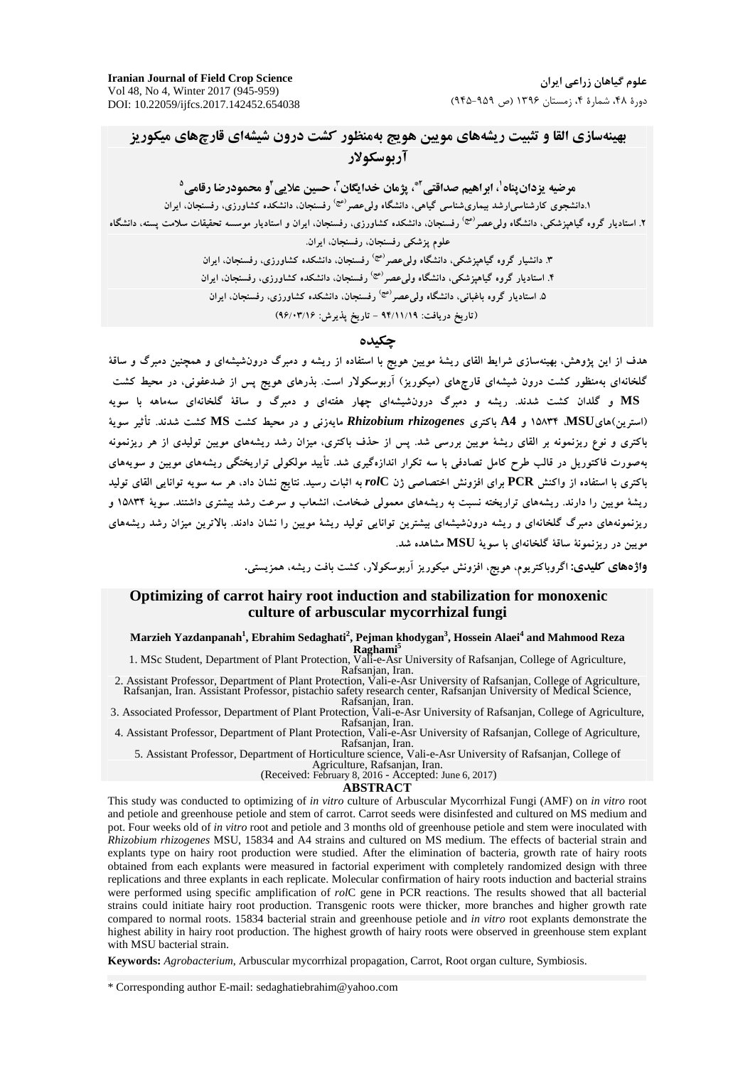### بهینهسازی القا و تثبیت ریشههای مویین هویج بهمنظور کشت درون شیشهای قارچهای میکوریز آريوسكولار

مرضيه يزدان بناه'، ابراهيم صداقتي <sup>آ</sup>"، يژمان خدايگان <sup>"</sup>، حسين علايي <sup>9</sup>و محمودرضا رقامي <sup>0</sup> ۱.دانشجوی کارشناس<sub>ما</sub>ارشد بیماریشناسی گیاهی، دانشگاه ول*ی عصر <sup>(عج)</sup> رفسنجان*، دانشکده کشاورزی، رفسنجان، ایران ۲. استادیار گروه گیاهیزشکی، دانشگاه ول*ی عص*ر<sup>اعی</sup> رفسنجان، دانشکده کشاورزی، رفسنجان، ایران و استادیار موسسه تحقیقات سلامت پسته، دانشگاه علوم پزشکی رفسنجان، رفسنجان، ایران. ۳. دانشبار گروه گیاهیزشکی، دانشگاه ول*ی عص*ر<sup>(عج)</sup> رفسنجان، دانشکده کشاورزی، رفسنجان، ایران ۴. استادیار گروه گیاهیزشکی، دانشگاه ول*ی عصر <sup>(عج)</sup> رفسنجان*، دانشکده کشاورزی، رفسنجان، ایران ۵. استادیار گروه باغبانی، دانشگاه ول*ی عص*ر<sup>رمی</sup>′ رفسنجان، دانشکده کشاورزی، رفسنجان، ایران

(تاريخ دريافت: ٩۴/١١/١٩ - تاريخ يذيرش: ٩۶/٠٣/١۶)

#### حكىدە

هدف از این پژوهش، بهینهسازی شرایط القای ریشهٔ مویین هویج با استفاده از ریشه و دمبرگ درونشیشهای و همچنین دمبرگ و ساقهٔ گلخانهای بهمنظور کشت درون شیشهای قارچهای (میکوریز) آربوسکولار است. بذرهای هویج پس از ضدعفونی، در محیط کشت MS و گلدان کشت شدند. ریشه و دمبرگ درونشیشهای چهار هفتهای و دمبرگ و ساقهٔ گلخانهای سهماهه با سویه (استرین)هایMSU ،MSU و A4 باکتری Rhizobium rhizogenes مایهزنی و در محیط کشت MS کشت شدند. تأثیر سویهٔ باکتری و نوع ریزنمونه بر القای ریشهٔ مویین بررسی شد. پس از حذف باکتری، میزان رشد ریشههای مویین تولیدی از هر ریزنمونه بهصورت فاکتوریل در قالب طرح کامل تصادفی با سه تکرار اندازهگیری شد. تأیید مولکولی تراریختگی ریشههای مویین و سویههای باکتری با استفاده از واکنش PCR برای افزونش اختصاصی ژن rolC به اثبات رسید. نتایج نشان داد، هر سه سویه توانایی القای تولید ریشهٔ مویین را دارند. ریشههای تراریخته نسبت به ریشههای معمولی ضخامت، انشعاب و سرعت رشد بیشتری داشتند. سویهٔ ۱۵۸۳۴ و ریزنمونههای دمبرگ گلخانهای و ریشه درونشیشهای بیشترین توانایی تولید ریشهٔ مویین را نشان دادند. بالاترین میزان رشد ریشههای مويين در ريزنمونهٔ ساقهٔ گلخانهاي با سويهٔ MSU مشاهده شد.

**واژههای کلیدی:** اگروباکتریوم، هویج، افزونش میکوریز آربوسکولار، کشت بافت ریشه، همزیستی.

#### Optimizing of carrot hairy root induction and stabilization for monoxenic culture of arbuscular mycorrhizal fungi

Marzieh Yazdanpanah<sup>1</sup>, Ebrahim Sedaghati<sup>2</sup>, Pejman khodygan<sup>3</sup>, Hossein Alaei<sup>4</sup> and Mahmood Reza 1. MSc Student, Department of Plant Protection, Vali-e-Asr University of Rafsanjan, College of Agriculture,

Rafsanjan, Iran.

2. Assistant Professor, Department of Plant Protection, Vali-e-Asr University of Rafsanjan, College of Agriculture, Rafsanjan, Iran. Assistant Professor, pistachio safety research center, Rafsanjan University of Medical Science, Rafsanjan, Iran.

3. Associated Professor, Department of Plant Protection, Vali-e-Asr University of Rafsanjan, College of Agriculture, Rafsanjan, Iran.

4. Assistant Professor, Department of Plant Protection, Vali-e-Asr University of Rafsanjan, College of Agriculture, Rafsanjan, Iran.

5. Assistant Professor, Department of Horticulture science, Vali-e-Asr University of Rafsanjan, College of<br>Agriculture, Rafsanjan, Iran.<br>(Received: February 8, 2016 - Accepted: June 6, 2017)

**ABSTRACT** 

This study was conducted to optimizing of in vitro culture of Arbuscular Mycorrhizal Fungi (AMF) on in vitro root and petiole and greenhouse petiole and stem of carrot. Carrot seeds were disinfested and cultured on MS medium and pot. Four weeks old of in vitro root and petiole and 3 months old of greenhouse petiole and stem were inoculated with Rhizobium rhizogenes MSU, 15834 and A4 strains and cultured on MS medium. The effects of bacterial strain and explants type on hairy root production were studied. After the elimination of bacteria, growth rate of hairy roots obtained from each explants were measured in factorial experiment with completely randomized design with three replications and three explants in each replicate. Molecular confirmation of hairy roots induction and bacterial strains were performed using specific amplification of rolC gene in PCR reactions. The results showed that all bacterial strains could initiate hairy root production. Transgenic roots were thicker, more branches and higher growth rate compared to normal roots. 15834 bacterial strain and greenhouse petiole and in vitro root explants demonstrate the highest ability in hairy root production. The highest growth of hairy roots were observed in greenhouse stem explant with MSU bacterial strain.

Keywords: Agrobacterium, Arbuscular mycorrhizal propagation, Carrot, Root organ culture, Symbiosis.

\* Corresponding author E-mail: sedaghatiebrahim@yahoo.com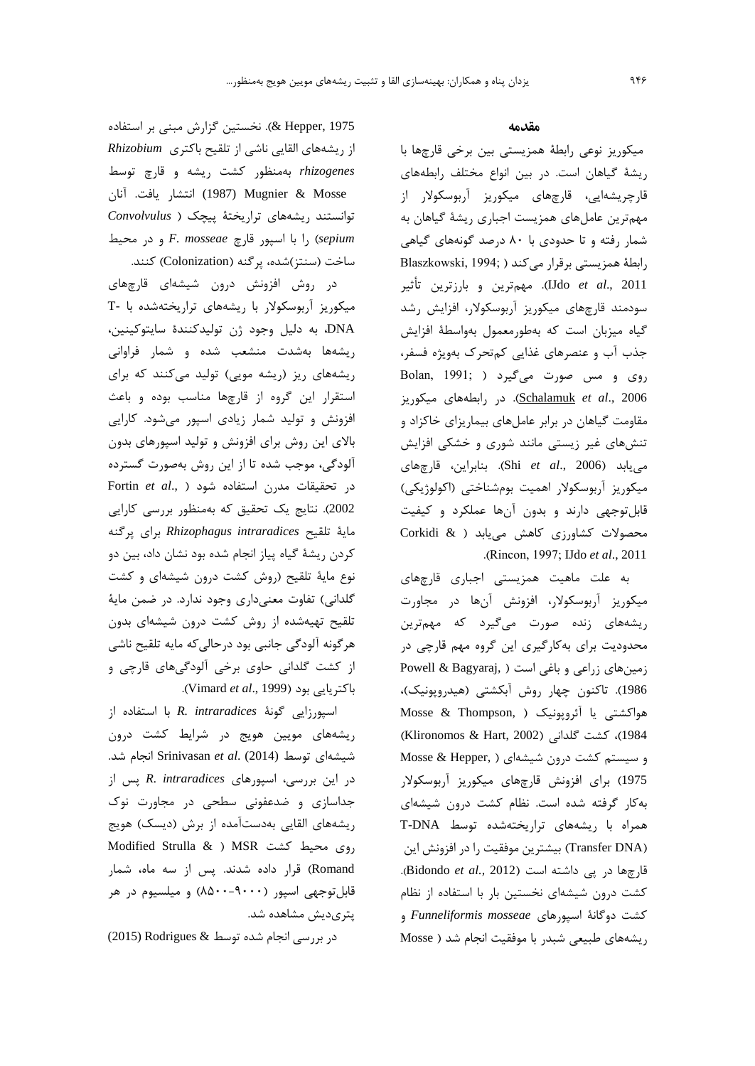#### مقدمه

میکوریز نوعی رابطهٔ همزیستی بین برخی قارچها با ریشهٔ گیاهان است. در بین انواع مختلف رابطههای قارچریشهایی، قارچهای میکوریز آربوسکولار از مهمترین عاملهای همزیست اجباری ریشهٔ گیاهان به شمار رفته و تا حدودی با ۸۰ درصد گونههای گیاهی Blaszkowski, 1994; ) برقرار می کند IJdo *et al*., 2011). مهمترين و بارزترين تأثير سودمند قارچهای میکوریز آربوسکولار، افزایش رشد گیاه میزبان است که بهطورمعمول بهواسطهٔ افزایش جذب آب و عنصرهای غذایی کمتحرک بهویژه فسفر، روی و مس صورت میگیرد ( Bolan, 1991; Schalamuk et al., 2006). در رابطههای میکوریز مقاومت گیاهان در برابر عاملهای بیماریزای خاکزاد و تنشهای غیر زیستی مانند شوری و خشکی افزایش مییابد (Shi et al., 2006). بنابراین، قارچهای میکوریز آربوسکولار اهمیت بومشناختی (اکولوژیکی) قابل توجهي دارند و بدون آنها عملكرد و كيفيت محصولات کشاورزی کاهش مییابد ( & Corkidi .(Rincon, 1997; IJdo et al., 2011

به علت ماهیت همزیستی اجباری قارچهای میکوریز آربوسکولار، افزونش آنها در مجاورت ریشههای زنده صورت میگیرد که مهمترین محدودیت برای به کارگیری این گروه مهم قارچی در Powell & Bagyaraj, ) زمینهای زراعی و باغی است 1986). تاكنون چهار روش آبكشتى (هيدروپونيک)، هواكشتى يا آئروپونيک ( Mosse & Thompson, 1984)، كشت گلدانى (Klironomos & Hart, 2002) و سیستم کشت درون شیشهای ( Mosse & Hepper, 1975) برای افزونش قارچهای میکوریز آربوسکولار به کار گرفته شده است. نظام کشت درون شیشهای همراه با ریشههای تراریختهشده توسط T-DNA (Transfer DNA) بيشترين موفقيت را در افزونش اين قارچها در یی داشته است (Bidondo et al., 2012). کشت درون شیشهای نخستین بار با استفاده از نظام کشت دوگانهٔ اسپورهای Funneliformis mosseae و ریشههای طبیعی شبدر با موفقیت انجام شد ( Mosse

Hepper, 1975). نخستین گزارش مبنی بر استفاده از ریشههای القایی ناشی از تلقیح باکتری Rhizobium rhizogenes بهمنظور کشت ریشه و قارچ توسط (1987) Mugnier & Mosse (1987) انتشار يافت. آنان توانستند ریشههای تراریختهٔ پیچک ( Convolvulus ا با اسیور قارچ F. mosseae و در محیط , sepium ساخت (سنتز)شده، پرگنه (Colonization) کنند.

در روش افزونش درون شیشهای قارچهای میکوریز آربوسکولار با ریشههای تراریختهشده با -T DNA، به دليل وجود ژن توليدكنندهٔ سايتوكينين، ریشهها بهشدت منشعب شده و شمار فراوانی ریشههای ریز (ریشه مویی) تولید میکنند که برای استقرار این گروه از قارچها مناسب بوده و باعث افزونش و تولید شمار زیادی اسپور میشود. کارایی بالای این روش برای افزونش و تولید اسپورهای بدون آلودگی، موجب شده تا از این روش بهصورت گسترده Fortin et al., ) استفاده شود 2002). نتایج یک تحقیق که بهمنظور بررسی کارایی مايهٔ تلقيح Rhizophagus intraradices براى پركنه کردن ریشهٔ گیاه پیاز انجام شده بود نشان داد، بین دو نوع مایهٔ تلقیح (روش کشت درون شیشهای و کشت گلدانی) تفاوت معنیداری وجود ندارد. در ضمن مایهٔ تلقیح تهیهشده از روش کشت درون شیشهای بدون هرگونه آلودگی جانبی بود درحالیکه مایه تلقیح ناشی از کشت گلدانی حاوی برخی آلودگیهای قارچی و .(Vimard et al., 1999).

اسپورزایی گونهٔ R. intraradices با استفاده از ریشههای مویین هویج در شرایط کشت درون شیشهای توسط (Srinivasan et al. (2014) انجام شد. در این بررسی، اسپورهای R. intraradices پس از جداسازی و ضدعفونی سطحی در مجاورت نوک ریشههای القایی بهدستآمده از برش (دیسک) هویج Modified Strulla & ) MSR دوى محيط كشت Romand) قرار داده شدند. پس از سه ماه، شمار قابلتوجهی اسپور (۹۰۰۰-۸۵۰۰) و میلسیوم در هر پتریدیش مشاهده شد.

در بررسی انجام شده توسط & Rodrigues (2015)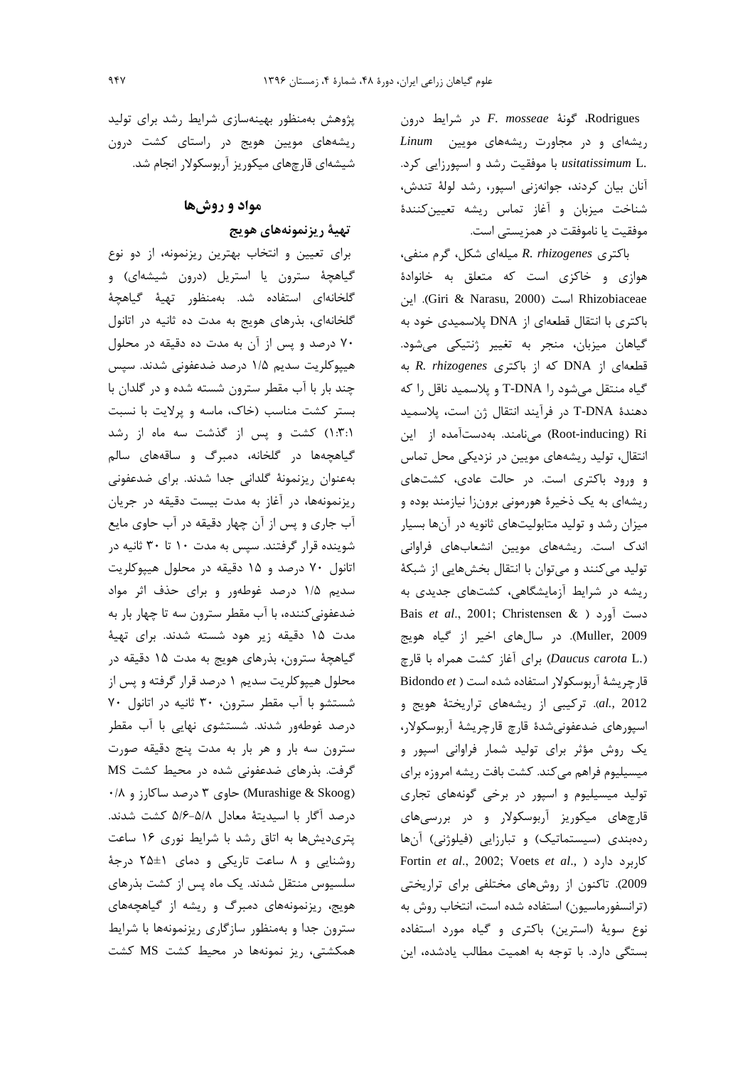Rodrigues، گونهٔ F. mosseae در شرایط درون ریشهای و در مجاورت ریشههای مویین Linum .usitatissimum L با موفقیت رشد و اسپورزایی کرد. آنان بیان کردند، جوانهزنی اسپور، رشد لولهٔ تندش، شناخت میزبان و آغاز تماس ریشه تعیینکنندهٔ موفقيت يا ناموفقت در همزيستي است.

باکتری R. rhizogenes میلهای شکل، گرم منفی، هوازی و خاکزی است که متعلق به خانوادهٔ اين (Giri & Narasu, 2000) است (Giri & Narasu). اين باکتری با انتقال قطعهای از DNA پلاسمیدی خود به گیاهان میزبان، منجر به تغییر ژنتیکی میشود. قطعهای از DNA که از باکتری R. rhizogenes گیاه منتقل میشود را T-DNA و پلاسمید ناقل را که دهندهٔ T-DNA در فرآیند انتقال ژن است، پلاسمید Root-inducing) Ri) می نامند. بهدستآمده از این انتقال، تولید ریشههای مویین در نزدیکی محل تماس و ورود باکتری است. در حالت عادی، کشتهای ریشهای به یک ذخیرهٔ هورمونی برونزا نیازمند بوده و میزان رشد و تولید متابولیتهای ثانویه در آنها بسیار اندک است. ریشههای مویین انشعابهای فراوانی تولید میکنند و میتوان با انتقال بخشهایی از شبکهٔ ریشه در شرایط آزمایشگاهی، کشتهای جدیدی به Bais et al., 2001; Christensen & ) دست آورد Muller, 2009). در سالهای اخیر از گیاه هویج (*Daucus carota L.*) برای آغاز کشت همراه با قارچ قارچریشهٔ آربوسکولار استفاده شده است ( Bidondo et al., 2012). ترکیبی از ریشههای تراریختهٔ هویج و اسپورهای ضدعفونیشدهٔ قارچ قارچریشهٔ آربوسکولار، یک روش مؤثر برای تولید شمار فراوانی اسپور و میسیلیوم فراهم میکند. کشت بافت ریشه امروزه برای تولید میسیلیوم و اسپور در برخی گونههای تجاری قارچهای میکوریز آربوسکولار و در بررسیهای ردهبندی (سیستماتیک) و تبارزایی (فیلوژنی) آنها Fortin et al., 2002; Voets et al., ) كاربرد دارد ( 2009). تاکنون از روشهای مختلفی برای تراریختی (ترانسفورماسیون) استفاده شده است، انتخاب روش به نوع سويهٔ (استرين) باكترى و گياه مورد استفاده بستگی دارد. با توجه به اهمیت مطالب یادشده، این

پژوهش بهمنظور بهینهسازی شرایط رشد برای تولید ریشههای مویین هویج در راستای کشت درون شیشهای قارچهای میکوریز آربوسکولار انجام شد.

# مواد و روشها

### تهية ريزنمونههاي هويج

برای تعیین و انتخاب بهترین ریزنمونه، از دو نوع گیاهچهٔ سترون یا استریل (درون شیشهای) و گلخانهای استفاده شد. بهمنظور تهیهٔ گیاهچهٔ گلخانهای، بذرهای هویج به مدت ده ثانیه در اتانول ۷۰ درصد و پس از آن به مدت ده دقیقه در محلول هیپوکلریت سدیم ۱/۵ درصد ضدعفونی شدند. سپس چند بار با آب مقطر سترون شسته شده و در گلدان با بستر کشت مناسب (خاک، ماسه و پرلایت با نسبت ۰۳:۱) کشت و پس از گذشت سه ماه از رشد گیاهچهها در گلخانه، دمبرگ و ساقههای سالم بهعنوان ريزنمونة گلداني جدا شدند. براي ضدعفوني ریزنمونهها، در آغاز به مدت بیست دقیقه در جریان آب جاری و پس از آن چهار دقیقه در آب حاوی مایع شوینده قرار گرفتند. سپس به مدت ۱۰ تا ۳۰ ثانیه در اتانول ۷۰ درصد و ۱۵ دقیقه در محلول هیپوکلریت سدیم ۱/۵ درصد غوطهور و برای حذف اثر مواد ضدعفونی کننده، با آب مقطر سترون سه تا چهار بار به مدت ۱۵ دقیقه زیر هود شسته شدند. برای تهیهٔ گیاهچهٔ سترون، بذرهای هویج به مدت ۱۵ دقیقه در محلول هیپوکلریت سدیم ۱ درصد قرار گرفته و پس از شستشو با آب مقطر سترون، ٣٠ ثانيه در اتانول ٧٠ درصد غوطهور شدند. شستشوی نهایی با آب مقطر سترون سه بار و هر بار به مدت پنج دقیقه صورت گرفت. بذرهای ضدعفونی شده در محیط کشت MS (Murashige & Skoog) حاوی ۳ درصد ساکارز و ۰/۸ درصد آگار با اسیدیتهٔ معادل ۵/۸-۵/۶ کشت شدند. پتریدیشها به اتاق رشد با شرایط نوری ۱۶ ساعت روشنایی و ۸ ساعت تاریکی و دمای ۱±۲۵ درجهٔ سلسیوس منتقل شدند. یک ماه پس از کشت بذرهای هویج، ریزنمونههای دمبرگ و ریشه از گیاهچههای سترون جدا و بهمنظور سازگاری ریزنمونهها با شرایط همکشتی، ریز نمونهها در محیط کشت MS کشت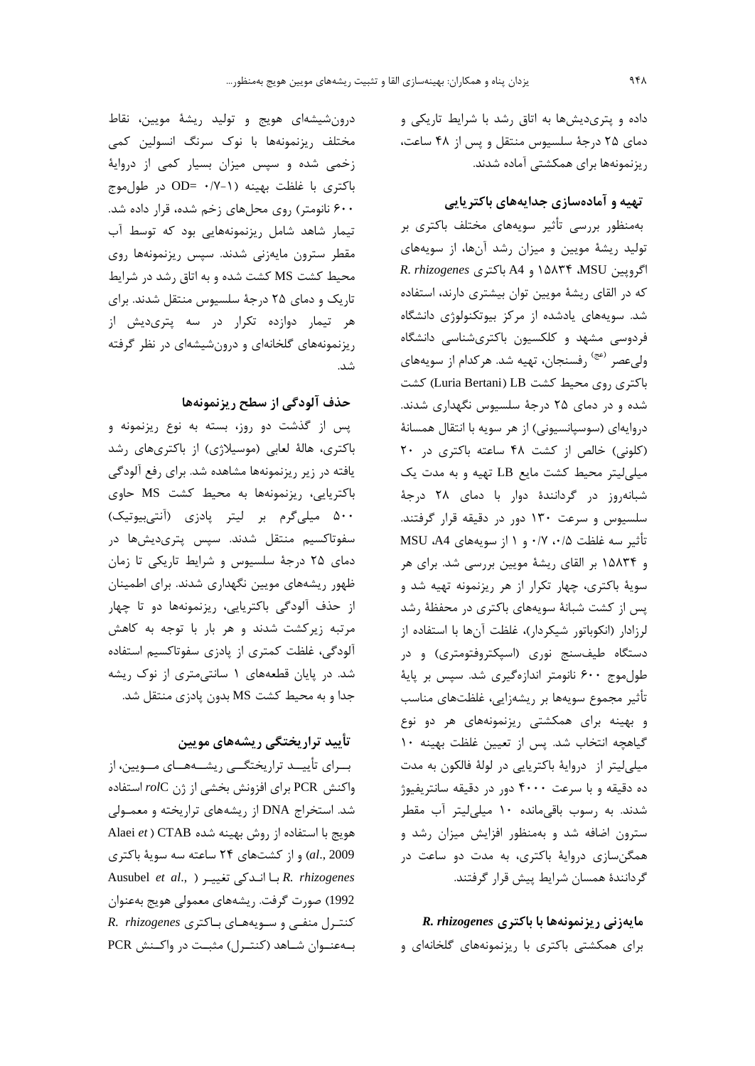داده و پتریدیشها به اتاق رشد با شرایط تاریکی و دمای ۲۵ درجهٔ سلسیوس منتقل و پس از ۴۸ ساعت، ریزنمونهها برای همکشتی آماده شدند.

### تهیه و آمادهسازی جدایههای باکتریایی

بهمنظور بررسی تأثیر سویههای مختلف باکتری بر تولید ریشهٔ مویین و میزان رشد آنها، از سویههای R. rhizogenes و A4 باكترى R. rhizogenes که در القای ریشهٔ مویین توان بیشتری دارند، استفاده شد. سویههای یادشده از مرکز بیوتکنولوژی دانشگاه فردوسی مشهد و کلکسیون باکتریشناسی دانشگاه ولی عصر <sup>(عج)</sup> رفسنجان، تهیه شد. هرکدام از سویههای باکتری روی محیط کشت LB(Luria Bertani) کشت شده و در دمای ۲۵ درجهٔ سلسیوس نگهداری شدند. دروايهاي (سوسپانسيوني) از هر سويه با انتقال همسانهٔ (کلونی) خالص از کشت ۴۸ ساعته باکتری در ۲۰ میلی لیتر محیط کشت مایع LB تهیه و به مدت یک شبانهروز در گردانندهٔ دوار با دمای ۲۸ درجهٔ سلسیوس و سرعت ۱۳۰ دور در دقیقه قرار گرفتند. تأثير سه غلظت ٠/٥، ٠/٧ و ١ از سويههاى MSU ،A4 و ۱۵۸۳۴ بر القای ریشهٔ مویین بررسی شد. برای هر سویهٔ باکتری، چهار تکرار از هر ریزنمونه تهیه شد و پس از کشت شبانهٔ سویههای باکتری در محفظهٔ رشد لرزادار (انكوباتور شيكردار)، غلظت آنها با استفاده از دستگاه طیفسنج نوری (اسپکتروفتومتری) و در طول موج ۶۰۰ نانومتر اندازهگیری شد. سپس بر پایهٔ تأثیر مجموع سویهها بر ریشهزایی، غلظتهای مناسب و بهینه برای همکشتی ریزنمونههای هر دو نوع گیاهچه انتخاب شد. پس از تعیین غلظت بهینه ۱۰ میلی لیتر از دروایهٔ باکتریایی در لولهٔ فالکون به مدت ده دقیقه و با سرعت ۴۰۰۰ دور در دقیقه سانتریفیوژ شدند. به رسوب باقیمانده ۱۰ میلی لیتر آب مقطر سترون اضافه شد و بهمنظور افزایش میزان رشد و همگن سازی دروایهٔ باکتری، به مدت دو ساعت در گردانندهٔ همسان شرایط پیش قرار گرفتند.

R. rhizogenes با باكترى R. rhizogenes برای همکشتی باکتری با ریزنمونههای گلخانهای و

درون شیشهای هویج و تولید ریشهٔ مویین، نقاط مختلف ریزنمونهها با نوک سرنگ انسولین کمی زخمی شده و سپس میزان بسیار کمی از دروایهٔ باكترى با غلظت بهينه (١-٧/٠ =OD در طول موج ۶۰۰ نانومتر) روی محلهای زخم شده، قرار داده شد. تیمار شاهد شامل ریزنمونههایی بود که توسط آب مقطر سترون مايەزنى شدند. سپس ريزنمونەها روى محیط کشت MS کشت شده و به اتاق رشد در شرایط تاریک و دمای ۲۵ درجهٔ سلسیوس منتقل شدند. برای هر تیمار دوازده تکرار در سه پتریدیش از ریزنمونههای گلخانهای و درونشیشهای در نظر گرفته شد.

### حذف آلودگی از سطح ریزنمونهها

پس از گذشت دو روز، بسته به نوع ریزنمونه و باکتری، هالهٔ لعابی (موسیلاژی) از باکتریهای رشد یافته در زیر ریزنمونهها مشاهده شد. برای رفع آلودگی باكتريايي، ريزنمونهها به محيط كشت MS حاوى ۵۰۰ میلیگرم بر لیتر پادزی (آنتیبیوتیک) سفوتاکسیم منتقل شدند. سپس پتریدیشها در دمای ۲۵ درجهٔ سلسیوس و شرایط تاریکی تا زمان ظهور ریشههای مویین نگهداری شدند. برای اطمینان از حذف آلودگی باکتریایی، ریزنمونهها دو تا چهار مرتبه زیرکشت شدند و هر بار با توجه به کاهش آلودگی، غلظت کمتری از پادزی سفوتاکسیم استفاده شد. در پایان قطعههای ۱ سانتیمتری از نوک ریشه جدا و به محیط کشت MS بدون پادزی منتقل شد.

### تأييد تراريختگي ريشههاي مويين

بسرای تأییسد تراریختگسی ریشسههسای مسویین، از واكنش PCR براي افزونش بخشي از ژن rolC استفاده شد. استخراج DNA از ریشههای تراریخته و معمـولی Alaei et ) CTAB هويج با استفاده از روش بهينه شده و از کشتهای ۲۴ ساعته سه سویهٔ باکتری (al., 2009 Ausubel et al., ) با انـدكى تغييـر ( .Ausubel et al 1992) صورت گرفت. ریشههای معمولی هویج بهعنوان R. rhizogenes د سویههای باکتری به عنوان شـاهد (کنتـرل) مثبـت در واکـنش PCR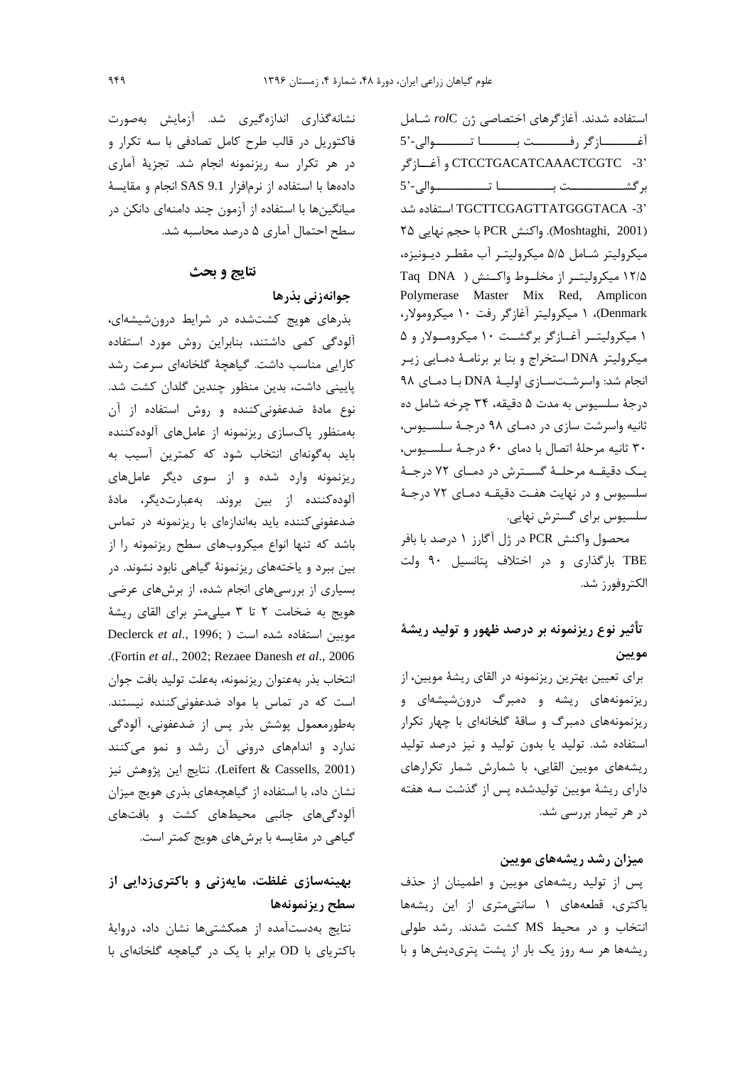استفاده شدند. آغاز گرهای اختصاصی ژن rolC شامل أغــــــــازگر رفــــــــت بـــــــا تــــــــوالى-'5 'CTCCTGACATCAAACTCGTC -3 و آغسازگر TGCTTCGAGTTATGGGTACA -3' استفاده شد (Moshtaghi, 2001). واكنش PCR با حجم نهايي ٢۵ میکرولیتر شـامل ۵/۵ میکرولیتـر آب مقطـر دیـونیزه، ۱۲/۵ میکرولیتـر از مخلـوط واکـنش ( Taq DNA Polymerase Master Mix Red, Amplicon Denmark)، ۱ میکرولیتر آغازگر رفت ۱۰ میکرومولار، ۱ میکرولیتــر آغــازگر برگشــت ۱۰ میکرومــولار و ۵ میکرولیتر DNA استخراج و بنا بر برنامـهٔ دمـایی زیـر انجام شد: واسرشتسازی اولیهٔ DNA با دمای ۹۸ درجهٔ سلسیوس به مدت ۵ دقیقه، ۳۴ چرخه شامل ده ثانیه واسرشت سازی در دمای ۹۸ درجـهٔ سلسـیوس، ٣٠ ثانيه مرحلة اتصال با دماى ۶۰ درجة سلسيوس، یـک دقیقـه مرحلـهٔ گسـترش در دمـای ۷۲ درجـهٔ سلسيوس و در نهايت هفت دقيقـه دمـاى ٧٢ درجـهٔ سلسیوس برای گسترش نهایی.

محصول واكنش PCR در ژل آگارز ۱ درصد با بافر TBE بارگذاری و در اختلاف پتانسیل ۹۰ ولت الكتروفورز شد.

### تأثیر نوع ریزنمونه بر درصد ظهور و تولید ریشهٔ مويين

برای تعیین بهترین ریزنمونه در القای ریشهٔ مویین، از ریزنمونههای ریشه و دمبرگ درونشیشهای و ریزنمونههای دمبرگ و ساقهٔ گلخانهای با چهار تکرار استفاده شد. تولید یا بدون تولید و نیز درصد تولید ریشههای مویین القایی، با شمارش شمار تکرارهای دارای ریشهٔ مویین تولیدشده پس از گذشت سه هفته در هر تیمار بررسی شد.

### میزان رشد ریشههای مویین

پس از تولید ریشههای مویین و اطمینان از حذف باکتری، قطعههای ١ سانتیمتری از این ریشهها انتخاب و در محیط MS کشت شدند. رشد طولی ریشهها هر سه روز یک بار از پشت پتریدیشها و با

نشانه گذاری اندازهگیری شد. آزمایش بهصورت فاکتوریل در قالب طرح کامل تصادفی با سه تکرار و در هر تكرار سه ريزنمونه انجام شد. تجزيهٔ آماري دادهها با استفاده از نرمافزار SAS 9.1 انجام و مقايسة میانگینها با استفاده از آزمون چند دامنهای دانکن در سطح احتمال آماری ۵ درصد محاسبه شد.

### نتايج و بحث

### جوانەزنى بذرها

بذرهای هویج کشتشده در شرایط درونشیشهای، آلودگی کمی داشتند، بنابراین روش مورد استفاده كارايي مناسب داشت. كياهچهٔ كلخانهای سرعت رشد پایینی داشت، بدین منظور چندین گلدان کشت شد. نوع مادهٔ ضدعفونی کننده و روش استفاده از آن بهمنظور پاکسازی ریزنمونه از عامل های آلوده کننده باید بهگونهای انتخاب شود که کمترین آسیب به ریزنمونه وارد شده و از سوی دیگر عاملهای آلوده كننده از بين بروند. بهعبارتديگر، مادهٔ ضدعفونی کننده باید بهاندازهای با ریزنمونه در تماس باشد که تنها انواع میکروبهای سطح ریزنمونه را از بین ببرد و یاختههای ریزنمونهٔ گیاهی نابود نشوند. در بسیاری از بررسیهای انجام شده، از برشهای عرضی هويج به ضخامت ٢ تا ٣ ميلي متر براي القاى ريشة Declerck et al., 1996; ) مويين استفاده شده است .(Fortin et al., 2002; Rezaee Danesh et al., 2006 انتخاب بذر بهعنوان ريزنمونه، بهعلت توليد بافت جوان است که در تماس با مواد ضدعفونیکننده نیستند. بەطورمعمول پوشش بذر پس از ضدعفونی، آلودگی ندارد و اندامهای درونی آن رشد و نمو میکنند (Leifert & Cassells, 2001). نتايج اين پژوهش نيز نشان داد، با استفاده از گیاهچههای بذری هویج میزان آلودگیهای جانبی محیطهای کشت و بافتهای گیاهی در مقایسه با برشهای هویج کمتر است.

## بهینهسازی غلظت، مایهزنی و باکتریزدایی از سطح ريزنمونهها

نتايج بهدستآمده از همكشتىها نشان داد، درواية باکتریای با OD برابر با یک در گیاهچه گلخانهای با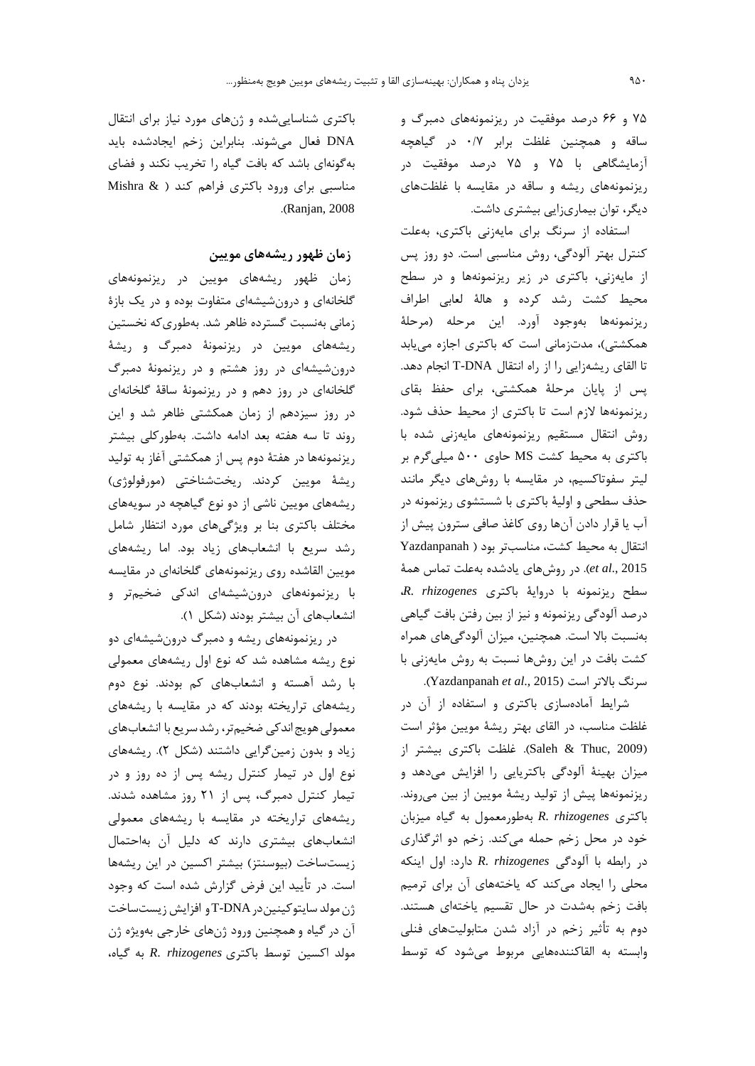۷۵ و ۶۶ درصد موفقیت در ریزنمونههای دمبرگ و ساقه و همچنین غلظت برابر ۰/۷ در گیاهچه آزمایشگاهی با ۷۵ و ۷۵ درصد موفقیت در ریزنمونههای ریشه و ساقه در مقایسه با غلظتهای دیگر، توان بیماریزایی بیشتری داشت.

استفاده از سرنگ برای مایهزنی باکتری، بهعلت کنترل بهتر آلودگی، روش مناسبی است. دو روز پس از مایهزنی، باکتری در زیر ریزنمونهها و در سطح محيط كشت رشد كرده و هالهٔ لعابي اطراف ريزنمونهها بهوجود آورد. اين مرحله (مرحلة همکشتی)، مدتزمانی است که باکتری اجازه می یابد تا القای ریشهزایی را از راه انتقال T-DNA انجام دهد. پس از پایان مرحلهٔ همکشتی، برای حفظ بقای ریزنمونهها لازم است تا باکتری از محیط حذف شود. روش انتقال مستقيم ريزنمونههاى مايهزنى شده با باکتری به محیط کشت MS حاوی ۵۰۰ میلیگرم بر لیتر سفوتاکسیم، در مقایسه با روشهای دیگر مانند حذف سطحی و اولیهٔ باکتری با شستشوی ریزنمونه در آب یا قرار دادن آنها روی کاغذ صافی سترون پیش از انتقال به محیط کشت، مناسبتر بود ( Yazdanpanah et al., 2015). در روشهای یادشده بهعلت تماس همهٔ R. rhizogenes سطح ريزنمونه با درواية باكترى درصد آلودگی ریزنمونه و نیز از بین رفتن بافت گیاهی بهنسبت بالا است. همچنین، میزان آلودگیهای همراه کشت بافت در این روشها نسبت به روش مایهزنی با سرنگ بالاتر است (Yazdanpanah et al., 2015).

شرایط آمادهسازی باکتری و استفاده از آن در غلظت مناسب، در القای بهتر ریشهٔ مویین مؤثر است (Saleh & Thuc, 2009). غلظت باكترى بيشتر از میزان بهینهٔ آلودگی باکتریایی را افزایش میدهد و ریزنمونهها پیش از تولید ریشهٔ مویین از بین میروند. باكترى R. rhizogenes بهطورمعمول به گياه ميزبان خود در محل زخم حمله میکند. زخم دو اثرگذاری در رابطه با آلودگی R. rhizogenes دارد: اول اینکه محلی را ایجاد میکند که یاختههای آن برای ترمیم بافت زخم بهشدت در حال تقسیم یاختهای هستند. دوم به تأثیر زخم در آزاد شدن متابولیتهای فنلی وابسته به القاكنندههايي مربوط مى شود كه توسط

باکتری شناسایی شده و ژنهای مورد نیاز برای انتقال DNA فعال می شوند. بنابراین زخم ایجادشده باید بهگونهای باشد که بافت گیاه را تخریب نکند و فضای مناسبی برای ورود باکتری فراهم کند ( Mishra & .(Ranjan, 2008).

### زمان ظهور ریشههای مویین

زمان ظهور ریشههای مویین در ریزنمونههای گلخانهای و درونشیشهای متفاوت بوده و در یک بازهٔ زمانی بهنسبت گسترده ظاهر شد. بهطوری که نخستین ریشههای مویین در ریزنمونهٔ دمبرگ و ریشهٔ درون شیشهای در روز هشتم و در ریزنمونهٔ دمبرگ گلخانهای در روز دهم و در ریزنمونهٔ ساقهٔ گلخانهای در روز سیزدهم از زمان همکشتی ظاهر شد و این روند تا سه هفته بعد ادامه داشت. بهطوركلي بيشتر ریزنمونهها در هفتهٔ دوم پس از همکشتی آغاز به تولید ریشهٔ مویین کردند. ریختشناختی (مورفولوژی) ریشههای مویین ناشی از دو نوع گیاهچه در سویههای مختلف باکتری بنا بر ویژگیهای مورد انتظار شامل رشد سریع با انشعابهای زیاد بود. اما ریشههای مويين القاشده روى ريزنمونههاى گلخانهاى در مقايسه با ریزنمونههای درونشیشهای اندکی ضخیمتر و انشعابهای آن بیشتر بودند (شکل ۱).

در ریزنمونههای ریشه و دمبرگ درونشیشهای دو نوع ریشه مشاهده شد که نوع اول ریشههای معمولی با رشد آهسته و انشعابهای کم بودند. نوع دوم ریشههای تراریخته بودند که در مقایسه با ریشههای معمولی هویج اندکی ضخیمتر، رشد سریع با انشعابهای زیاد و بدون زمین گرایی داشتند (شکل ۲). ریشههای نوع اول در تيمار كنترل ريشه پس از ده روز و در تیمار کنترل دمبرگ، پس از ۲۱ روز مشاهده شدند. ریشههای تراریخته در مقایسه با ریشههای معمولی انشعابهای بیشتری دارند که دلیل آن بهاحتمال زیستساخت (بیوسنتز) بیشتر اکسین در این ریشهها است. در تأیید این فرض گزارش شده است که وجود ژن مولد سایتوکینین در T-DNA و افزایش زیست ساخت آن در گیاه و همچنین ورود ژنهای خارجی بهویژه ژن مولد اكسين توسط باكترى R. rhizogenes به گياه،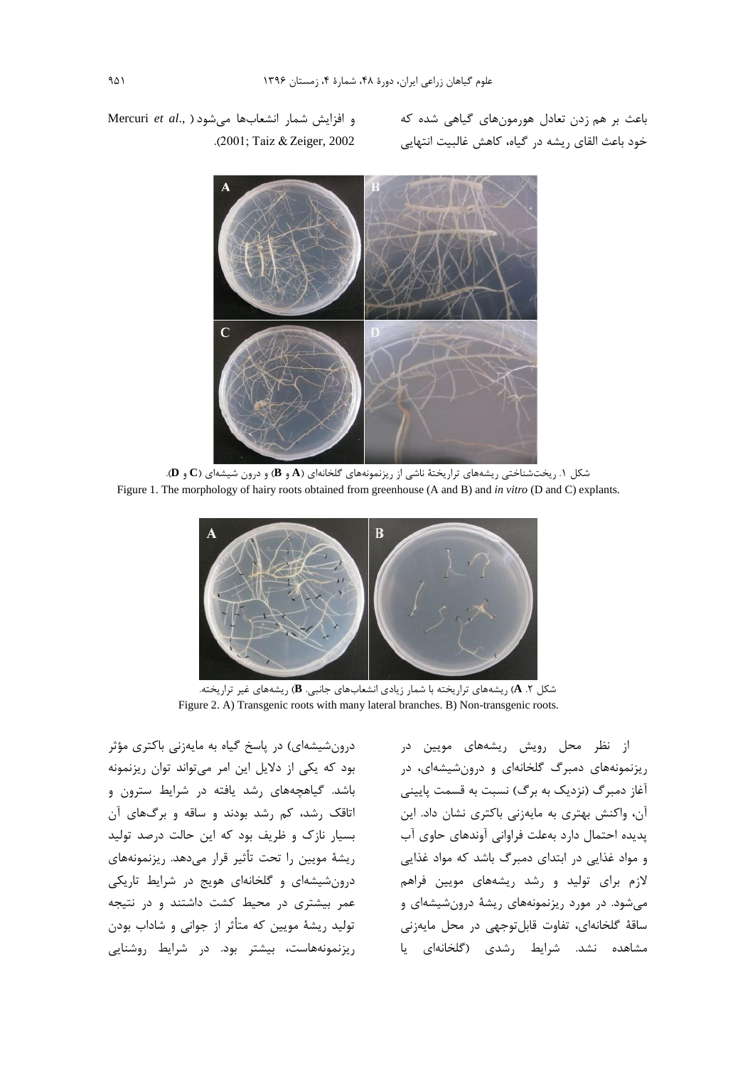باعث بر هم زدن تعادل هورمونهای گیاهی شده که خود باعث القای ریشه در گیاه، کاهش غالبیت انتهایی

Mercuri et al., ) و افزايش شمار انشعابها مى شود .(2001; Taiz & Zeiger, 2002



شکل ۱. ریختشناختی ریشههای تراریختهٔ ناشی از ریزنمونههای گلخانهای (A و B) و درون شیشهای (C و D). Figure 1. The morphology of hairy roots obtained from greenhouse (A and B) and in vitro (D and C) explants.



شکل ۲. A) ریشههای تراریخته با شمار زیادی انشعابهای جانبی. B) ریشههای غیر تراریخته. Figure 2. A) Transgenic roots with many lateral branches. B) Non-transgenic roots.

درونشیشهای) در پاسخ گیاه به مایهزنی باکتری مؤثر بود که یکی از دلایل این امر میتواند توان ریزنمونه باشد. گیاهچههای رشد یافته در شرایط سترون و اتاقک رشد، کم رشد بودند و ساقه و برگهای آن بسیار نازک و ظریف بود که این حالت درصد تولید ريشهٔ مويين را تحت تأثير قرار مىدهد. ريزنمونههاى درونشیشهای و گلخانهای هویج در شرایط تاریکی عمر بیشتری در محیط کشت داشتند و در نتیجه تولید ریشهٔ مویین که متأثر از جوانی و شاداب بودن ریزنمونههاست، بیشتر بود. در شرایط روشنایی

از نظر محل رویش ریشههای مویین در ریزنمونههای دمبرگ گلخانهای و درونشیشهای، در آغاز دمبرگ (نزدیک به برگ) نسبت به قسمت پایینی آن، واکنش بهتری به مایهزنی باکتری نشان داد. این پدیده احتمال دارد بهعلت فراوانی آوندهای حاوی آب و مواد غذایی در ابتدای دمبرگ باشد که مواد غذایی لازم برای تولید و رشد ریشههای مویین فراهم میشود. در مورد ریزنمونههای ریشهٔ درونشیشهای و ساقهٔ گلخانهای، تفاوت قابلتوجهی در محل مایهزنی مشاهده نشد. شرایط رشدی (گلخانهای یا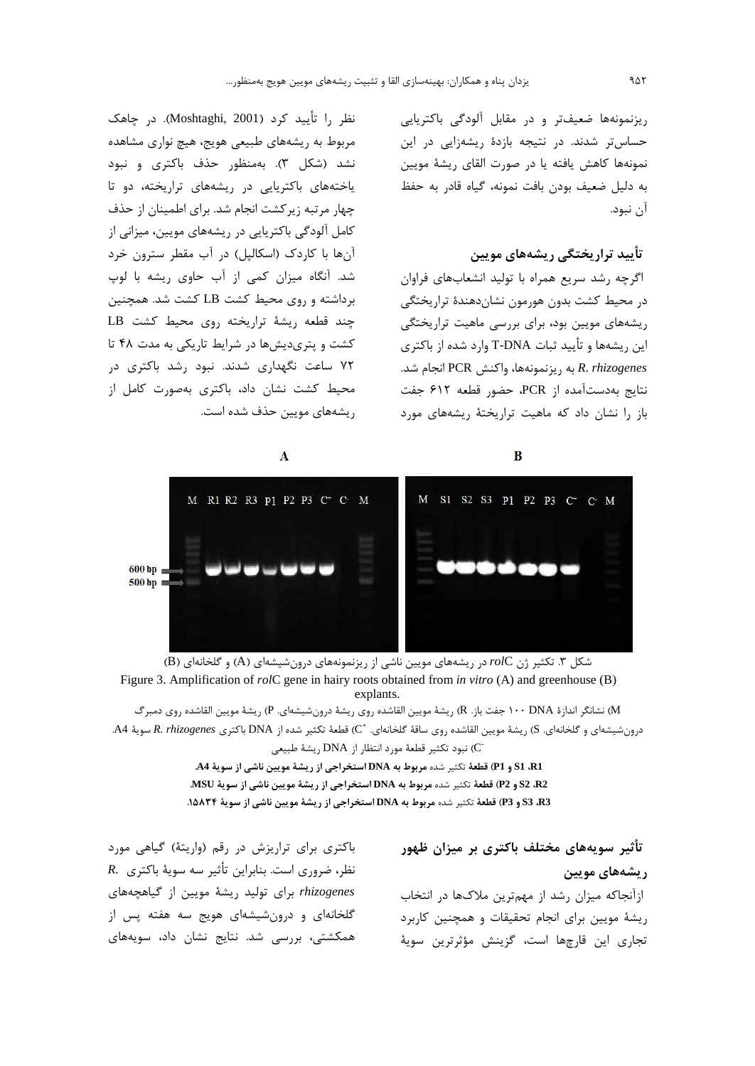ریزنمونهها ضعیفتر و در مقابل آلودگی باکتریایی حساس تر شدند. در نتیجه بازدهٔ ریشهزایی در این نمونهها كاهش يافته يا در صورت القاى ريشهٔ مويين به دليل ضعيف بودن بافت نمونه، گياه قادر به حفظ آن نيود.

### تأیید تراریختگی ریشههای مویین

اگرچه رشد سریع همراه با تولید انشعابهای فراوان در محیط کشت بدون هورمون نشاندهندهٔ تراریختگی ریشههای مویین بود، برای بررسی ماهیت تراریختگی این ریشهها و تأیید ثبات T-DNA وارد شده از باکتری به ريزنمونهها، واكنش PCR انجام شد.  $R.$  rhizogenes نتايج بهدستآمده از PCR، حضور قطعه ۶۱۲ جفت باز را نشان داد که ماهیت تراریختهٔ ریشههای مورد

 $\bf{B}$ 

نظر را تأييد كرد (Moshtaghi, 2001). در چاهک مربوط به ریشههای طبیعی هویج، هیچ نواری مشاهده نشد (شکل ۳). بهمنظور حذف باکتری و نبود یاختههای باکتریایی در ریشههای تراریخته، دو تا چهار مرتبه زیرکشت انجام شد. برای اطمینان از حذف کامل آلودگی باکتریایی در ریشههای مویین، میزانی از آنها با کاردک (اسکالیل) در آب مقطر سترون خرد شد. آنگاه میزان کمی از آب حاوی ریشه با لوپ برداشته و روی محیط کشت LB کشت شد. همچنین EB حند قطعه ریشهٔ تراریخته روی محیط کشت کشت و پتریدیشها در شرایط تاریکی به مدت ۴۸ تا ۷۲ ساعت نگهداری شدند. نبود رشد باکتری در محیط کشت نشان داد، باکتری بهصورت کامل از , یشههای مویین حذف شده است.

 $\mathbf{A}$ 



شکل ۳. تکثیر ژن rolC در ریشههای مویین ناشی از ریزنمونههای درونشیشهای (A) و گلخانهای (B) Figure 3. Amplification of  $rolC$  gene in hairy roots obtained from in vitro (A) and greenhouse (B) explants.

M) نشانگر اندازهٔ ۱۰۰ DNA (جفت باز. R) ريشهٔ مويين القاشده روی ريشهٔ درونشيشهای. P) ريشهٔ مويين القاشده روی دمبرگ درونشيشهاي و گلخانهاي. S) ريشهٔ مويين القاشده روي ساقهٔ گلخانهاي. "C) قطعهٔ تكثير شده از DNA باكتري R. rhizogenes سويهٔ A4. CT) نبود تكثير قطعة مورد انتظار از DNA ريشة طبيعي

> S1 ،R1 و P1) قطعة تكثير شده مربوط به DNA استخراجي از ريشة مويين ناشي از سوية A4. 22، 52 و P2) قطعة تكثير شده مربوط به DNA استخراجي از ريشة مويين ناشي از سوية MSU. 33 R3 و P3) قطعة تكثير شده مربوط به DNA استخراجي از ريشة مويين ناشي از سوية ٨٥٨٣٤.

> > تأثیر سویههای مختلف باکتری بر میزان ظهور ریشەھای مویین

ازآنجاکه میزان رشد از مهمترین ملاکها در انتخاب ریشهٔ مویین برای انجام تحقیقات و همچنین کاربرد تجاری این قارچها است، گزینش مؤثرترین سویهٔ

باکتری برای تراریزش در رقم (واریتهٔ) گیاهی مورد  $R.$  نظر، ضروری است. بنابراین تأثیر سه سویهٔ باکتری rhizogenes برای تولید ریشهٔ مویین از گیاهچههای گلخانهای و درونشیشهای هویج سه هفته پس از همکشتی، بررسی شد. نتایج نشان داد، سویههای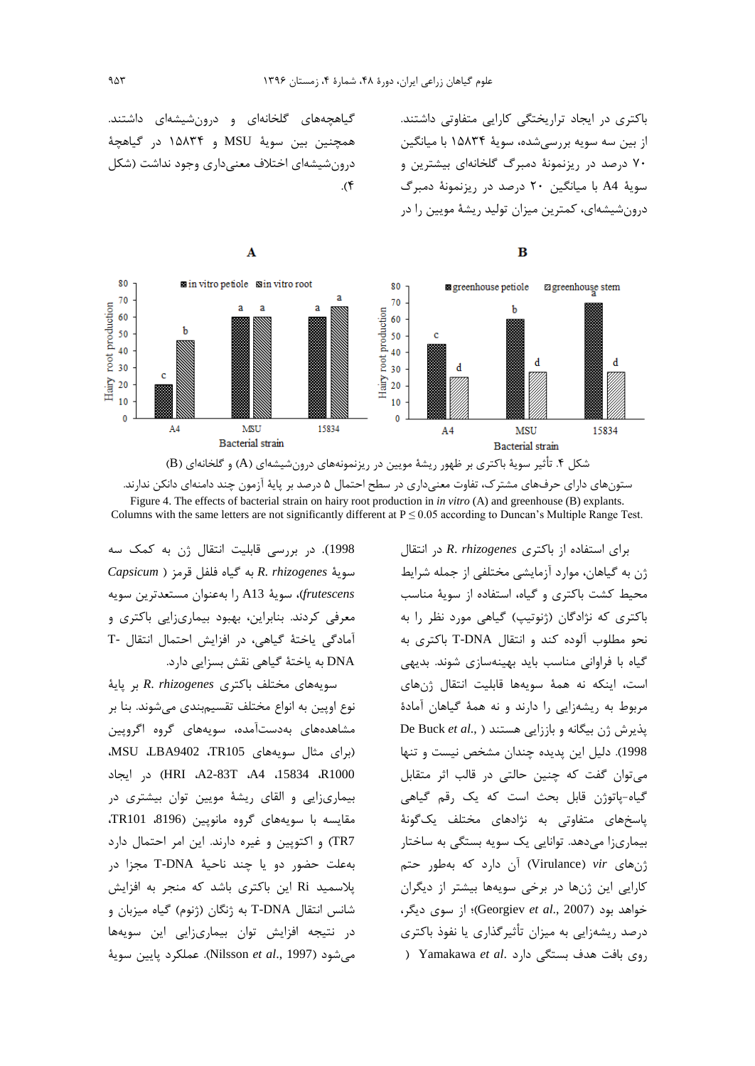باکتری در ایجاد تراریختگی کارایی متفاوتی داشتند. از بین سه سویه بررسیشده، سویهٔ ۱۵۸۳۴ با میانگین ۷۰ درصد در ریزنمونهٔ دمبرگ گلخانهای بیشترین و سویهٔ A4 با میانگین ۲۰ درصد در ریزنمونهٔ دمبرگ درونشیشهای، کمترین میزان تولید ریشهٔ مویین را در

گیاهچههای گلخانهای و درونشیشهای داشتند. همچنین بین سویهٔ MSU و ۱۵۸۳۴ در گیاهچهٔ درونشیشهای اختلاف معنے داری وجود نداشت (شکل  $\mathcal{A}$ 



ستونهای دارای حرفهای مشترک، تفاوت معنیداری در سطح احتمال ۵ درصد بر پایهٔ آزمون چند دامنهای دانکن ندارند. Figure 4. The effects of bacterial strain on hairy root production in in vitro (A) and greenhouse (B) explants. Columns with the same letters are not significantly different at  $P \le 0.05$  according to Duncan's Multiple Range Test.

1998). در بررسی قابلیت انتقال ژن به کمک سه Capsicum) به گیاه فلفل قرمز R. rhizogenes frutescens)، سويهٔ A13 را بهعنوان مستعدترين سويه معرفی کردند. بنابراین، بهبود بیماریزایی باکتری و آمادگی یاختهٔ گیاهی، در افزایش احتمال انتقال -T DNA به یاختهٔ گیاهی نقش بسزایی دارد.

سويههاى مختلف باكترى R. rhizogenes بر ياية نوع اوپین به انواع مختلف تقسیمبندی می شوند. بنا بر مشاهدههای بهدستآمده، سویههای گروه اگروپین (برای مثال سویههای TR105، MSU ،LBA9402 R1000، 15834، A2-83T، A4، 15834) در ایجاد بیماریزایی و القای ریشهٔ مویین توان بیشتری در مقايسه با سويههاى گروه مانويين (8196، TR101، TR7) و اکتویین و غیره دارند. این امر احتمال دارد به علت حضور دو يا چند ناحيهٔ T-DNA مجزا در پلاسمید Ri این باکتری باشد که منجر به افزایش شانس انتقال T-DNA به ژنگان (ژنوم) گیاه میزبان و در نتیجه افزایش توان بیماریزایی این سویهها مي شود (Nilsson et al., 1997). عملكرد يايين سوية

برای استفاده از باکتری R. rhizogenes در انتقال ژن به گیاهان، موارد آزمایشی مختلفی از جمله شرایط محیط کشت باکتری و گیاه، استفاده از سویهٔ مناسب باکتری که نژادگان (ژنوتیپ) گیاهی مورد نظر را به نحو مطلوب آلوده كند و انتقال T-DNA باكترى به گیاه با فراوانی مناسب باید بهینهسازی شوند. بدیهی است، اینکه نه همهٔ سویهها قابلیت انتقال <sub>ژن</sub>های مربوط به ریشهزایی را دارند و نه همهٔ گیاهان آمادهٔ De Buck et al., ) بذیرش ژن بیگانه و باززایی هستند 1998). دلیل این پدیده چندان مشخص نیست و تنها می توان گفت که چنین حالتی در قالب اثر متقابل گیاه-پاتوژن قابل بحث است که یک رقم گیاهی یاسخهای متفاوتی به نژادهای مختلف یکگونهٔ بیماریزا میدهد. توانایی یک سویه بستگی به ساختار أن دارد كه بهطور حتم) (Virulance) vir کارایی این ژنها در برخی سویهها بیشتر از دیگران خواهد بود (Georgiev et al., 2007)؛ از سوی دیگر، درصد ریشهزایی به میزان تأثیرگذاری یا نفوذ باکتری ) Yamakawa et al. اوی بافت هدف بستگی دارد

 $\bf{B}$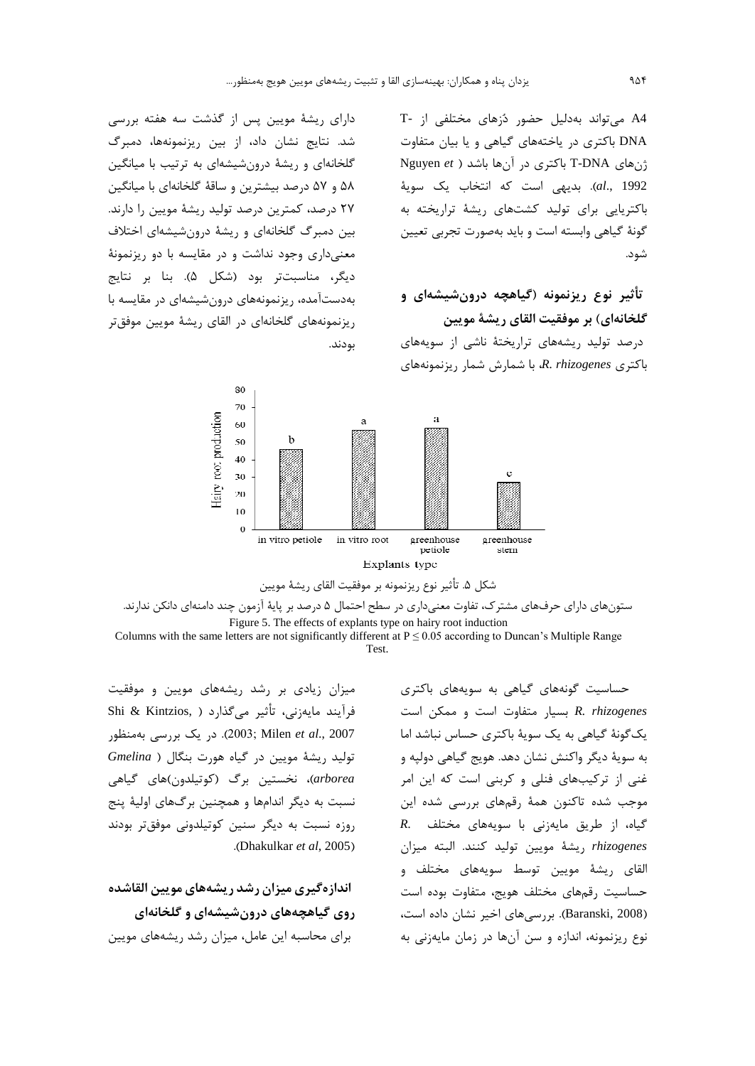A4 می تواند بهدلیل حضور دُزهای مختلفی از -T DNA باکتری در یاختههای گیاهی و یا بیان متفاوت Ryuyen et ) باکتری در آنها باشد ( Nguyen et al., 1992). بديهي است كه انتخاب يك سوية باکتریایی برای تولید کشتهای ریشهٔ تراریخته به گونهٔ گیاهی وابسته است و باید بهصورت تجربی تعیین شود.

# تأثیر نوع ریزنمونه (گیاهچه درونشیشهای و گلخانهای) بر موفقیت القای ریشهٔ مویین

درصد تولید ریشههای تراریختهٔ ناشی از سویههای  $R.$  rhizogenes باکتری R. rhizogenes باکتری

دارای ریشهٔ مویین پس از گذشت سه هفته بررسی شد. نتایج نشان داد، از بین ریزنمونهها، دمبرگ گلخانهای و ریشهٔ درونشیشهای به ترتیب با میانگین ۵۸ و ۵۷ درصد بیشترین و ساقهٔ گلخانهای با میانگین ۲۷ درصد، کمترین درصد تولید ریشهٔ مویین را دارند. بین دمبرگ گلخانهای و ریشهٔ درونشیشهای اختلاف معنیداری وجود نداشت و در مقایسه با دو ریزنمونهٔ دیگر، مناسبتتر بود (شکل ۵). بنا بر نتایج بهدستآمده، ریزنمونههای درونشیشهای در مقایسه با ریزنمونههای گلخانهای در القای ریشهٔ مویین موفقتر بودند.



ستونهای دارای حرفهای مشترک، تفاوت معنیداری در سطح احتمال ۵ درصد بر پایهٔ آزمون چند دامنهای دانکن ندارند. Figure 5. The effects of explants type on hairy root induction

Columns with the same letters are not significantly different at  $P \le 0.05$  according to Duncan's Multiple Range Test.

> حساسیت گونههای گیاهی به سویههای باکتری R. rhizogenes بسيار متفاوت است و ممكن است یک گونهٔ گیاهی به یک سویهٔ باکتری حساس نباشد اما به سويهٔ ديگر واكنش نشان دهد. هويج گياهي دولپه و غنی از ترکیبهای فنلی و کربنی است که این امر موجب شده تاکنون همهٔ رقمهای بررسی شده این R. گیاه، از طریق مایهزنی با سویههای مختلف rhizogenes ريشة مويين توليد كنند. البته ميزان القای ریشهٔ مویین توسط سویههای مختلف و حساسيت رقمهاى مختلف هويج، متفاوت بوده است (Baranski, 2008). بررسی های اخیر نشان داده است، نوع ریزنمونه، اندازه و سن آنها در زمان مایهزنی به

میزان زیادی بر رشد ریشههای مویین و موفقیت فرآيند مايەزنى، تأثير مىگذارد ( ,Shi & Kintzios 2003; Milen et al., 2007). در یک بررسی بهمنظور توليد ريشة مويين در گياه هورت بنگال ( Gmelina arborea)، نخستین برگ (کوتیلدون)های گیاهی نسبت به دیگر اندامها و همچنین برگهای اولیهٔ پنج روزه نسبت به دیگر سنین کوتیلدونی موفقتر بودند .(Dhakulkar et al, 2005).

اندازهگیری میزان رشد ریشههای مویین القاشده روی گیاهچههای درونشیشهای و گلخانهای برای محاسبه این عامل، میزان رشد ریشههای مویین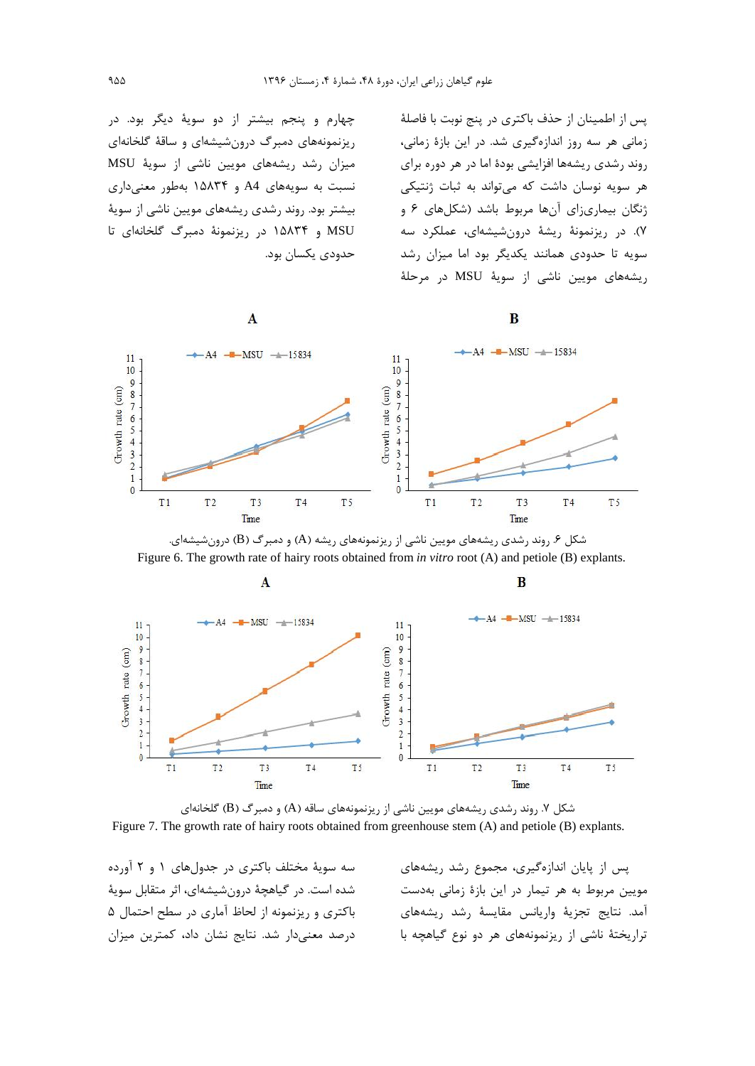چهارم و پنجم بیشتر از دو سویهٔ دیگر بود. در ریزنمونههای دمبرگ درونشیشهای و ساقهٔ گلخانهای میزان رشد ریشههای مویین ناشی از سویهٔ MSU نسبت به سویههای A4 و ۱۵۸۳۴ بهطور معنیداری بیشتر بود. روند رشدی ریشههای مویین ناشی از سویهٔ MSU و ۱۵۸۳۴ در ریزنمونهٔ دمبرگ گلخانهای تا حدودي يكسان بود.

پس از اطمینان از حذف باکتری در پنج نوبت با فاصلهٔ زمانی هر سه روز اندازهگیری شد. در این بازهٔ زمانی، روند رشدی ریشهها افزایشی بودهٔ اما در هر دوره برای هر سویه نوسان داشت که می تواند به ثبات ژنتیکی ژنگان بیماری;ای آنها مربوط باشد (شکلهای ۶ و ۷). در ریزنمونهٔ ریشهٔ درونشیشهای، عملکرد سه سویه تا حدودی همانند یکدیگر بود اما میزان رشد ریشههای مویین ناشی از سویهٔ MSU در مرحلهٔ

B

B



 $\mathbf{A}$ 



شکل ۶. روند رشدی ریشههای مویین ناشی از ریزنمونههای ریشه (A) و دمبرگ (B) درونشیشهای. Figure 6. The growth rate of hairy roots obtained from *in vitro* root (A) and petiole (B) explants.



شکل ۷. روند رشدی ریشههای مویین ناشی از ریزنمونههای ساقه (A) و دمبرگ (B) گلخانهای Figure 7. The growth rate of hairy roots obtained from greenhouse stem (A) and petiole (B) explants.

سه سویهٔ مختلف باکتری در جدولهای ۱ و ۲ آورده شده است. در گیاهچهٔ درونشیشهای، اثر متقابل سویهٔ باکتری و ریزنمونه از لحاظ آماری در سطح احتمال ۵ درصد معنى دار شد. نتايج نشان داد، كمترين ميزان

پس از پایان اندازهگیری، مجموع رشد ریشههای مويين مربوط به هر تيمار در اين بازة زمانى بهدست آمد. نتايج تجزية واريانس مقايسة رشد ريشههاى تراریختهٔ ناشی از ریزنمونههای هر دو نوع گیاهچه با

Crowth rate (cm)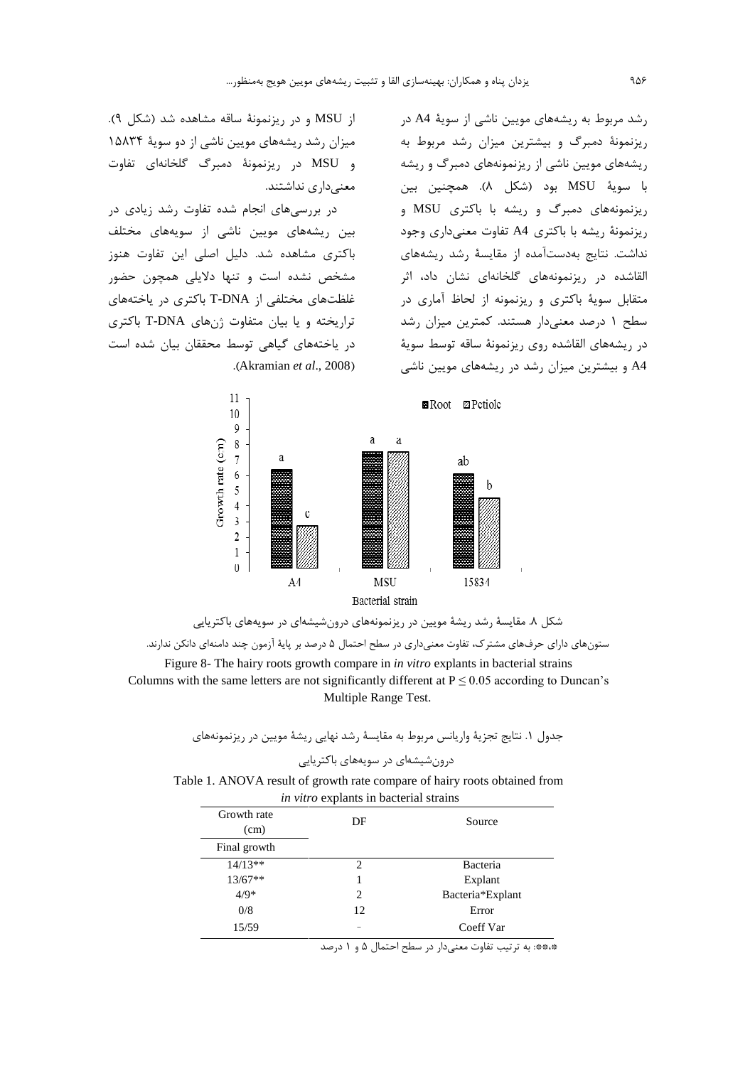رشد مربوط به ریشههای مویین ناشی از سویهٔ A4 در ریزنمونهٔ دمبرگ و بیشترین میزان رشد مربوط به ریشههای مویین ناشی از ریزنمونههای دمبرگ و ریشه با سويهٔ MSU بود (شكل ۸). همچنين بين , یزنمونههای دمبرگ و ریشه با باکتری MSU و ریزنمونهٔ ریشه با باکتری A4 تفاوت معنیداری وجود نداشت. نتایج بهدستآمده از مقایسهٔ رشد ریشههای القاشده در ریزنمونههای گلخانهای نشان داد، اثر متقابل سویهٔ باکتری و ریزنمونه از لحاظ آماری در سطح ۱ درصد معنیدار هستند. کمترین میزان رشد در ریشههای القاشده روی ریزنمونهٔ ساقه توسط سویهٔ A4 و بیشترین میزان رشد در ریشههای مویین ناشی

از MSU و در ریزنمونهٔ ساقه مشاهده شد (شکل ۹). میزان رشد ریشههای مویین ناشی از دو سویهٔ ۱۵۸۳۴ و MSU در ریزنمونهٔ دمبرگ گلخانهای تفاوت معنى دارى نداشتند.

در بررسیهای انجام شده تفاوت رشد زیادی در بین ریشههای مویین ناشی از سویههای مختلف باکتری مشاهده شد. دلیل اصلی این تفاوت هنوز مشخص نشده است و تنها دلایلی همچون حضور غلظتهای مختلفی از T-DNA باکتری در یاختههای تراریخته و یا بیان متفاوت ژنهای T-DNA باکتری در یاختههای گیاهی توسط محققان بیان شده است .(Akramian  $et$   $al., 2008$ )





Columns with the same letters are not significantly different at  $P \le 0.05$  according to Duncan's Multiple Range Test.

> جدول ١. نتايج تجزيهٔ واريانس مربوط به مقايسهٔ رشد نهايي ريشهٔ مويين در ريزنمونههاي درون شیشهای در سویههای باکتریایی

Table 1. ANOVA result of growth rate compare of hairy roots obtained from in vitro explants in bacterial strains

| Growth rate<br>(cm) | DF | Source           |
|---------------------|----|------------------|
| Final growth        |    |                  |
| $14/13**$           | 2  | Bacteria         |
| $13/67**$           | 1  | Explant          |
| $4/9*$              | 2  | Bacteria*Explant |
| 0/8                 | 12 | Error            |
| 15/59               | -  | Coeff Var        |

\*\*\*: به ترتیب تفاوت معنیدار در سطح احتمال ۵ و ۱ درصد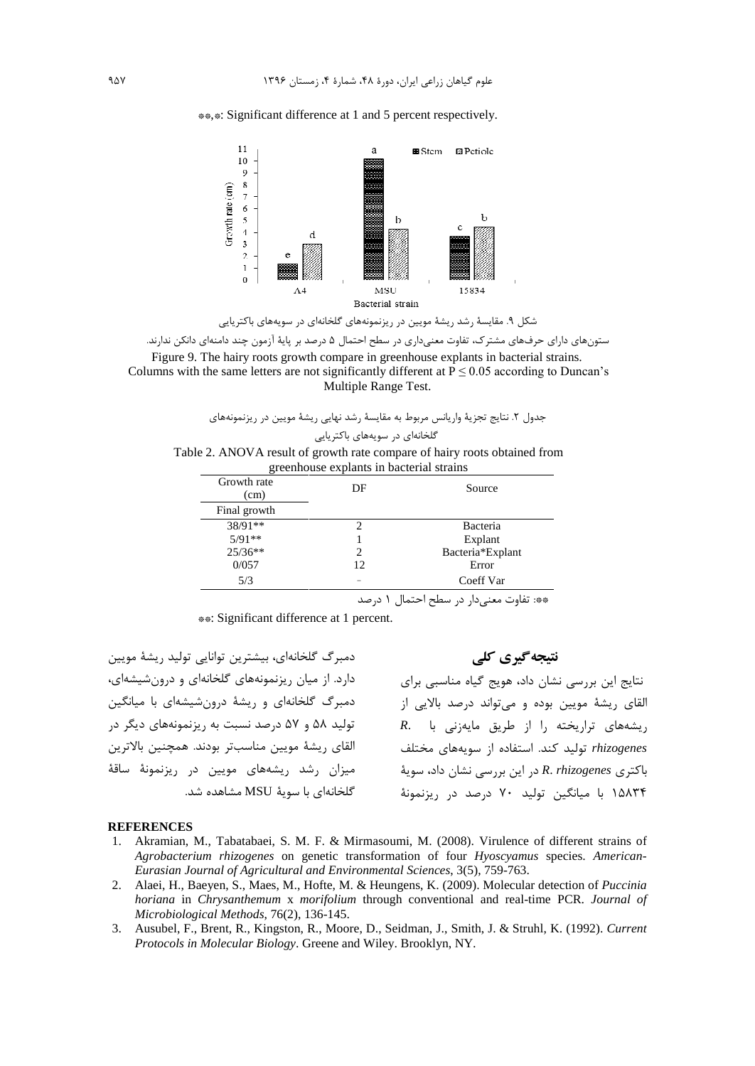\*\*.\*: Significant difference at 1 and 5 percent respectively.



شکل ۹. مقایسهٔ رشد ریشهٔ مویین در ریزنمونههای گلخانهای در سویههای باکتریایی

ستونهای دارای حرفهای مشترک، تفاوت معنیداری در سطح احتمال ۵ درصد بر پایهٔ آزمون چند دامنهای دانکن ندارند. Figure 9. The hairy roots growth compare in greenhouse explants in bacterial strains.

Columns with the same letters are not significantly different at  $P \le 0.05$  according to Duncan's Multiple Range Test.

جدول ۲. نتایج تجزیهٔ واریانس مربوط به مقایسهٔ رشد نهایی ریشهٔ مویین در ریزنمونههای

گلخانهای در سویههای باکتریایی

Table 2. ANOVA result of growth rate compare of hairy roots obtained from greenhouse explants in bacterial strains

| Growth rate<br>(cm) | DF | Source           |
|---------------------|----|------------------|
| Final growth        |    |                  |
| $38/91**$           | 2  | Bacteria         |
| $5/91**$            |    | Explant          |
| $25/36**$           |    | Bacteria*Explant |
| 0/057               | 12 | Error            |
| 5/3                 |    | Coeff Var        |

\*\*: تفاوت معنىدار در سطح احتمال ١ درصد

\*\*: Significant difference at 1 percent.

دمبرگ گلخانهای، بیشترین توانایی تولید ریشهٔ مویین دارد. از میان ریزنمونههای گلخانهای و درونشیشهای، دمبرگ گلخانهای و ریشهٔ درونشیشهای با میانگین تولید ۵۸ و ۵۷ درصد نسبت به ریزنمونههای دیگر در القاي ريشة مويين مناسبتر بودند. همچنين بالاترين میزان رشد ریشههای مویین در ریزنمونهٔ ساقهٔ گلخانهای با سویهٔ MSU مشاهده شد. نتیجه گیری کلی

نتایج این بررسی نشان داد، هویج گیاه مناسبی برای القای ریشهٔ مویین بوده و میتواند درصد بالایی از R. ریشههای تراریخته را از طریق مایهزنی با rhizogenes تولید کند. استفاده از سویههای مختلف باكترى R. rhizogenes در اين بررسي نشان داد، سويهٔ ۱۵۸۳۴ با میانگین تولید ۷۰ درصد در ریزنمونهٔ

#### **REFERENCES**

- 1. Akramian, M., Tabatabaei, S. M. F. & Mirmasoumi, M. (2008). Virulence of different strains of Agrobacterium rhizogenes on genetic transformation of four Hyoscyamus species. American-Eurasian Journal of Agricultural and Environmental Sciences, 3(5), 759-763.
- 2. Alaei, H., Baeyen, S., Maes, M., Hofte, M. & Heungens, K. (2009). Molecular detection of Puccinia horiana in Chrysanthemum x morifolium through conventional and real-time PCR. Journal of Microbiological Methods, 76(2), 136-145.
- 3. Ausubel, F., Brent, R., Kingston, R., Moore, D., Seidman, J., Smith, J. & Struhl, K. (1992). Current Protocols in Molecular Biology. Greene and Wiley. Brooklyn, NY.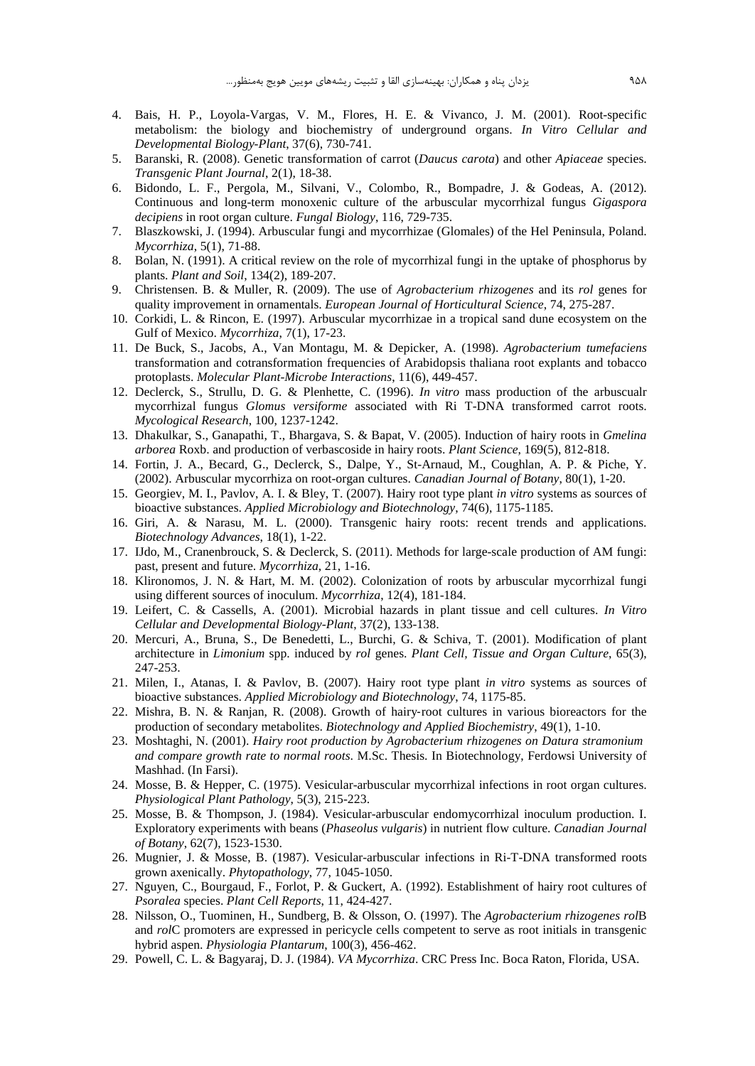- 4. Bais, H. P., Loyola-Vargas, V. M., Flores, H. E. & Vivanco, J. M. (2001). Root-specific metabolism: the biology and biochemistry of underground organs. *In Vitro Cellular and Developmental Biology-Plant*, 37(6), 730-741.
- 5. Baranski, R. (2008). Genetic transformation ofcarrot (*Daucus carota*) and other *Apiaceae* species. *Transgenic Plant Journal*, 2(1), 18-38.
- 6. Bidondo, L. F., Pergola, M., Silvani, V., Colombo, R., Bompadre, J. & Godeas,A. (2012). Continuous and long-term monoxenic culture of the arbuscular mycorrhizal fungus *Gigaspora decipiens* in root organ culture. *Fungal Biology*, 116, 729-735.
- 7. Blaszkowski, J. (1994). Arbuscular fungi and mycorrhizae (Glomales) of the Hel Peninsula, Poland. *Mycorrhiza*, 5(1), 71-88.
- 8. Bolan, N. (1991). A critical review on the role of mycorrhizal fungi in the uptake of phosphorus by plants. *Plant and Soil*, 134(2), 189-207.
- 9. Christensen. B. & Muller, R. (2009). The use of *Agrobacterium rhizogenes* and its *rol* genes for quality improvement in ornamentals. *European Journal of Horticultural Science*, 74, 275-287.
- 10. Corkidi, L. & Rincon, E. (1997). Arbuscular mycorrhizae in a tropical sand dune ecosystem on the Gulf of Mexico. *Mycorrhiza*, 7(1), 17-23.
- 11. De Buck, S., Jacobs, A., Van Montagu, M. & Depicker, A. (1998). *Agrobacterium tumefaciens* transformation and cotransformation frequencies of Arabidopsis thaliana root explants and tobacco protoplasts. *Molecular Plant-Microbe Interactions*, 11(6), 449-457.
- 12. Declerck, S., Strullu, D. G. & Plenhette, C. (1996). *In vitro* mass production of the arbuscualr mycorrhizal fungus *Glomus versiforme* associated with RiT-DNA transformed carrot roots. *Mycological Research*, 100, 1237-1242.
- 13. Dhakulkar, S., Ganapathi, T., Bhargava, S. & Bapat, V. (2005). Induction of hairy roots in *Gmelina arborea* Roxb. and production of verbascoside in hairy roots. *Plant Science*, 169(5), 812-818.
- 14. Fortin, J. A., Becard, G., Declerck, S., Dalpe, Y., St-Arnaud, M., Coughlan, A. P. & Piche, Y. (2002). Arbuscular mycorrhiza on root-organ cultures. *Canadian Journal of Botany*, 80(1), 1-20.
- 15. Georgiev, M. I., Pavlov, A. I. & Bley, T. (2007). Hairy root type plant *in vitro* systems as sources of bioactive substances. *Applied Microbiology and Biotechnology*, 74(6), 1175-1185.
- 16. Giri, A. & Narasu, M. L. (2000). Transgenic hairy roots: recent trends and applications. *Biotechnology Advances*, 18(1), 1-22.
- 17. IJdo, M., Cranenbrouck, S. & Declerck, S. (2011). Methods for large-scale production of AM fungi: past, present and future. *Mycorrhiza*, 21, 1-16.
- 18. Klironomos, J. N. & Hart, M. M. (2002). Colonization ofroots by arbuscular mycorrhizal fungi using different sources of inoculum. *Mycorrhiza*, 12(4), 181-184.
- 19. Leifert, C. & Cassells, A. (2001). Microbial hazards in plant tissue and cell cultures. *In Vitro Cellular and Developmental Biology-Plant*, 37(2), 133-138.
- 20. Mercuri, A., Bruna, S., De Benedetti, L., Burchi, G. & Schiva, T. (2001). Modification of plant architecture in *Limonium* spp. induced by *rol* genes. *Plant Cell, Tissue and Organ Culture*, 65(3), 247-253.
- 21. Milen, I., Atanas, I. & Pavlov, B. (2007). Hairy root type plant *in vitro* systems as sources of bioactive substances. *Applied Microbiology and Biotechnology*, 74, 1175-85. 247-253.<br>
21. Milen, I., Atanas, I. & Pavlov, B. (2007). Hairy root type plant in vitro systems as sources of<br>
bioactive substances. Applied Microbiology and Biotechnology, 74, 1175-85.<br>
22. Mishra, B. N. & Ranjan, R. (200
- production of secondary metabolites. *Biotechnology and Applied Biochemistry*, 49(1), 1-10.
- 23. Moshtaghi, N. (2001). *Hairy root production by Agrobacterium rhizogenes on Datura stramonium and compare growth rate to normal roots*. M.Sc. Thesis. In Biotechnology, Ferdowsi University of Mashhad. (In Farsi).
- 24. Mosse, B. & Hepper, C. (1975). Vesicular-arbuscular mycorrhizal infections in root organ cultures. *Physiological Plant Pathology*, 5(3), 215-223.
- 25. Mosse, B. & Thompson, J. (1984). Vesicular-arbuscular endomycorrhizal inoculum production. I. Exploratory experiments with beans (*Phaseolus vulgaris*) in nutrient flow culture. *Canadian Journal of Botany*, 62(7), 1523-1530.
- 26. Mugnier, J. & Mosse, B. (1987). Vesicular-arbuscular infections in Ri-T-DNA transformed roots grown axenically. *Phytopathology*, 77, 1045-1050.
- 27. Nguyen, C., Bourgaud, F., Forlot, P. & Guckert, A. (1992). Establishment of hairy root cultures of *Psoralea* species. *Plant Cell Reports*, 11, 424-427.
- 28. Nilsson, O., Tuominen, H., Sundberg, B. & Olsson, O. (1997). The *Agrobacterium rhizogenes rol*B and *rol*C promoters are expressed in pericycle cells competent to serve as root initials in transgenic hybrid aspen. *Physiologia Plantarum*, 100(3), 456-462.
- 29. Powell, C. L. & Bagyaraj, D. J. (1984). *VA Mycorrhiza*. CRC Press Inc. Boca Raton, Florida, USA.